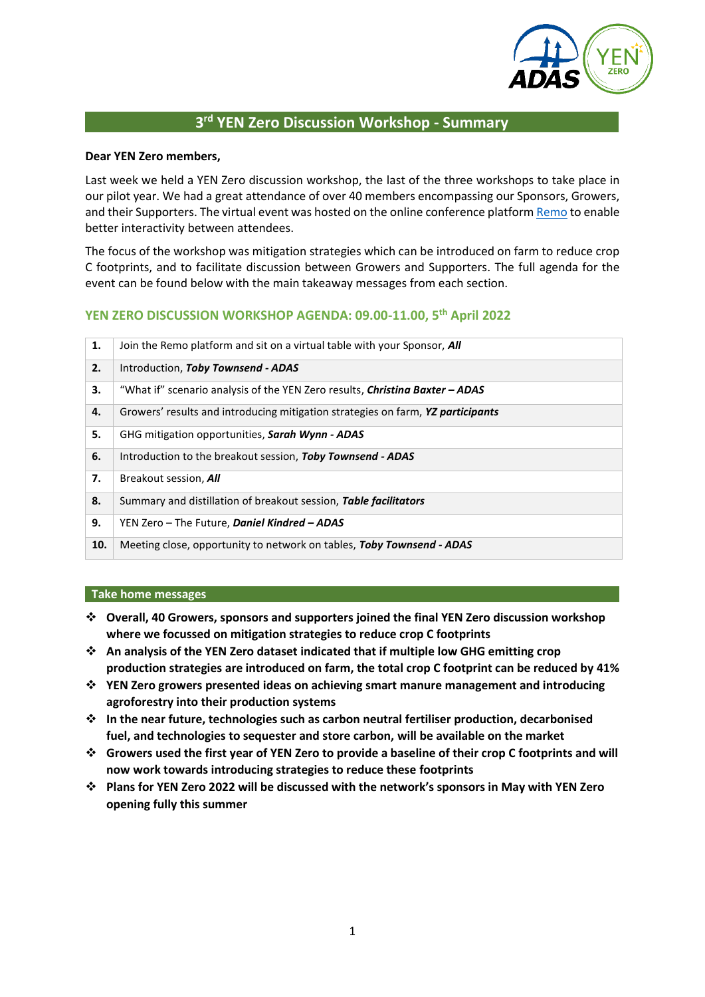

# **3 rd YEN Zero Discussion Workshop - Summary**

#### **Dear YEN Zero members,**

Last week we held a YEN Zero discussion workshop, the last of the three workshops to take place in our pilot year. We had a great attendance of over 40 members encompassing our Sponsors, Growers, and their Supporters. The virtual event was hosted on the online conference platfor[m Remo](https://remo.co/) to enable better interactivity between attendees.

The focus of the workshop was mitigation strategies which can be introduced on farm to reduce crop C footprints, and to facilitate discussion between Growers and Supporters. The full agenda for the event can be found below with the main takeaway messages from each section.

# **YEN ZERO DISCUSSION WORKSHOP AGENDA: 09.00-11.00, 5 th April 2022**

| 1.  | Join the Remo platform and sit on a virtual table with your Sponsor, <b>All</b>     |  |  |
|-----|-------------------------------------------------------------------------------------|--|--|
| 2.  | Introduction, Toby Townsend - ADAS                                                  |  |  |
| 3.  | "What if" scenario analysis of the YEN Zero results, <i>Christina Baxter - ADAS</i> |  |  |
| 4.  | Growers' results and introducing mitigation strategies on farm, YZ participants     |  |  |
| 5.  | GHG mitigation opportunities, Sarah Wynn - ADAS                                     |  |  |
| 6.  | Introduction to the breakout session, Toby Townsend - ADAS                          |  |  |
| 7.  | Breakout session, All                                                               |  |  |
| 8.  | Summary and distillation of breakout session, Table facilitators                    |  |  |
| 9.  | YEN Zero - The Future, Daniel Kindred - ADAS                                        |  |  |
| 10. | Meeting close, opportunity to network on tables, Toby Townsend - ADAS               |  |  |

#### **Take home messages**

- ❖ **Overall, 40 Growers, sponsors and supporters joined the final YEN Zero discussion workshop where we focussed on mitigation strategies to reduce crop C footprints**
- ❖ **An analysis of the YEN Zero dataset indicated that if multiple low GHG emitting crop production strategies are introduced on farm, the total crop C footprint can be reduced by 41%**
- ❖ **YEN Zero growers presented ideas on achieving smart manure management and introducing agroforestry into their production systems**
- ❖ **In the near future, technologies such as carbon neutral fertiliser production, decarbonised fuel, and technologies to sequester and store carbon, will be available on the market**
- ❖ **Growers used the first year of YEN Zero to provide a baseline of their crop C footprints and will now work towards introducing strategies to reduce these footprints**
- ❖ **Plans for YEN Zero 2022 will be discussed with the network's sponsors in May with YEN Zero opening fully this summer**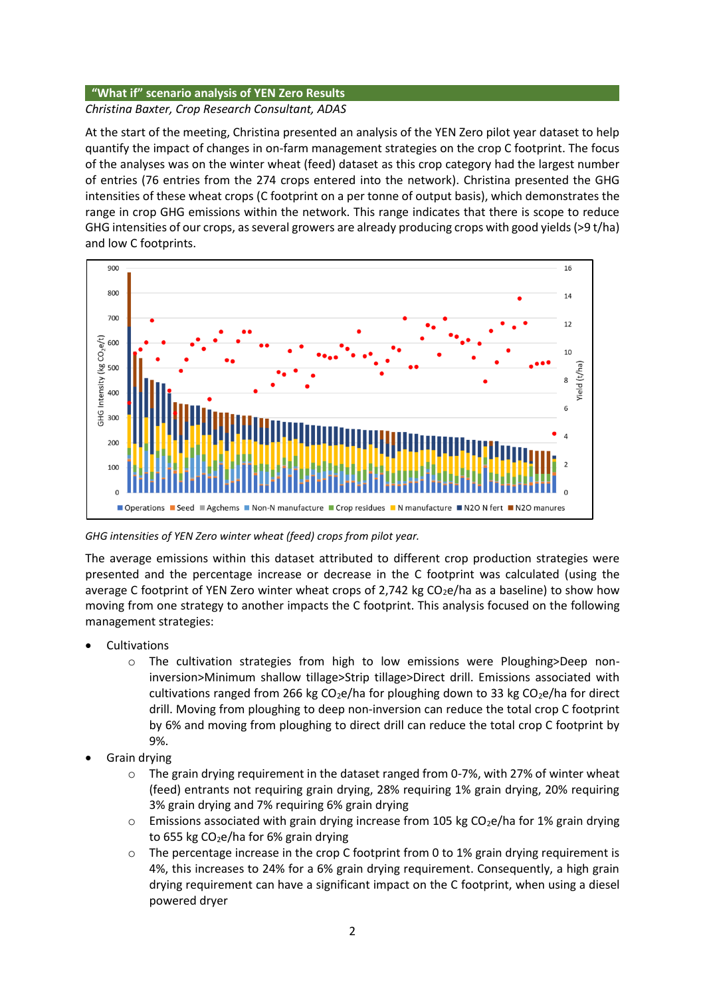#### **"What if" scenario analysis of YEN Zero Results**

### *Christina Baxter, Crop Research Consultant, ADAS*

At the start of the meeting, Christina presented an analysis of the YEN Zero pilot year dataset to help quantify the impact of changes in on-farm management strategies on the crop C footprint. The focus of the analyses was on the winter wheat (feed) dataset as this crop category had the largest number of entries (76 entries from the 274 crops entered into the network). Christina presented the GHG intensities of these wheat crops (C footprint on a per tonne of output basis), which demonstrates the range in crop GHG emissions within the network. This range indicates that there is scope to reduce GHG intensities of our crops, as several growers are already producing crops with good yields (>9 t/ha) and low C footprints.



*GHG intensities of YEN Zero winter wheat (feed) crops from pilot year.*

The average emissions within this dataset attributed to different crop production strategies were presented and the percentage increase or decrease in the C footprint was calculated (using the average C footprint of YEN Zero winter wheat crops of 2,742 kg  $CO<sub>2</sub>e/ha$  as a baseline) to show how moving from one strategy to another impacts the C footprint. This analysis focused on the following management strategies:

- **Cultivations** 
	- o The cultivation strategies from high to low emissions were Ploughing>Deep noninversion>Minimum shallow tillage>Strip tillage>Direct drill. Emissions associated with cultivations ranged from 266 kg  $CO<sub>2</sub>e/ha$  for ploughing down to 33 kg  $CO<sub>2</sub>e/ha$  for direct drill. Moving from ploughing to deep non-inversion can reduce the total crop C footprint by 6% and moving from ploughing to direct drill can reduce the total crop C footprint by 9%.
- Grain drying
	- $\circ$  The grain drying requirement in the dataset ranged from 0-7%, with 27% of winter wheat (feed) entrants not requiring grain drying, 28% requiring 1% grain drying, 20% requiring 3% grain drying and 7% requiring 6% grain drying
	- $\circ$  Emissions associated with grain drying increase from 105 kg CO<sub>2</sub>e/ha for 1% grain drying to 655 kg  $CO<sub>2</sub>e/ha$  for 6% grain drying
	- The percentage increase in the crop C footprint from 0 to  $1%$  grain drying requirement is 4%, this increases to 24% for a 6% grain drying requirement. Consequently, a high grain drying requirement can have a significant impact on the C footprint, when using a diesel powered dryer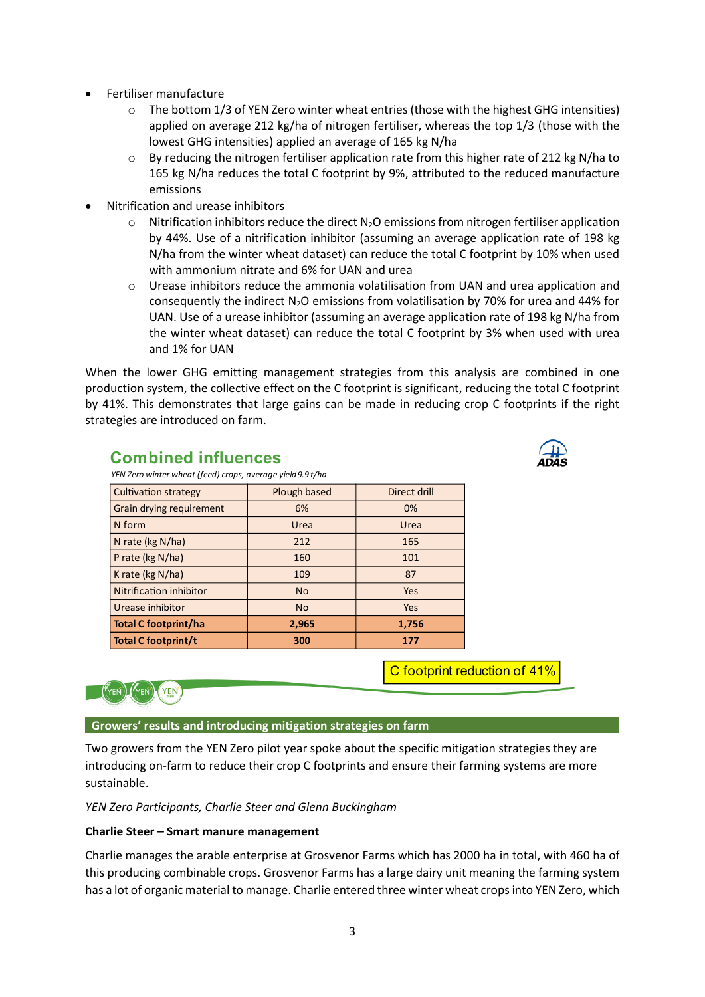- Fertiliser manufacture
	- o The bottom 1/3 of YEN Zero winter wheat entries (those with the highest GHG intensities) applied on average 212 kg/ha of nitrogen fertiliser, whereas the top 1/3 (those with the lowest GHG intensities) applied an average of 165 kg N/ha
	- $\circ$  By reducing the nitrogen fertiliser application rate from this higher rate of 212 kg N/ha to 165 kg N/ha reduces the total C footprint by 9%, attributed to the reduced manufacture emissions
- Nitrification and urease inhibitors
	- $\circ$  Nitrification inhibitors reduce the direct N<sub>2</sub>O emissions from nitrogen fertiliser application by 44%. Use of a nitrification inhibitor (assuming an average application rate of 198 kg N/ha from the winter wheat dataset) can reduce the total C footprint by 10% when used with ammonium nitrate and 6% for UAN and urea
	- o Urease inhibitors reduce the ammonia volatilisation from UAN and urea application and consequently the indirect  $N_2O$  emissions from volatilisation by 70% for urea and 44% for UAN. Use of a urease inhibitor (assuming an average application rate of 198 kg N/ha from the winter wheat dataset) can reduce the total C footprint by 3% when used with urea and 1% for UAN

When the lower GHG emitting management strategies from this analysis are combined in one production system, the collective effect on the C footprint is significant, reducing the total C footprint by 41%. This demonstrates that large gains can be made in reducing crop C footprints if the right strategies are introduced on farm.

| ار، |
|-----|
|     |
|     |
| AD  |
|     |
|     |
|     |
|     |

# **Combined influences**

| YEN Zero winter wheat (feed) crops, average yield 9.9 t/ha |              |              |  |  |
|------------------------------------------------------------|--------------|--------------|--|--|
| <b>Cultivation strategy</b>                                | Plough based | Direct drill |  |  |
| Grain drying requirement                                   | 6%           | 0%           |  |  |
| N form                                                     | Urea         | Urea         |  |  |
| N rate (kg N/ha)                                           | 212          | 165          |  |  |
| P rate (kg N/ha)                                           | 160          | 101          |  |  |
| K rate (kg N/ha)                                           | 109          | 87           |  |  |
| <b>Nitrification inhibitor</b>                             | <b>No</b>    | Yes          |  |  |
| Urease inhibitor                                           | <b>No</b>    | Yes          |  |  |
| <b>Total C footprint/ha</b>                                | 2,965        | 1,756        |  |  |
| <b>Total C footprint/t</b>                                 | 300          | 177          |  |  |

C footprint reduction of 41%



# **Growers' results and introducing mitigation strategies on farm**

Two growers from the YEN Zero pilot year spoke about the specific mitigation strategies they are introducing on-farm to reduce their crop C footprints and ensure their farming systems are more sustainable.

*YEN Zero Participants, Charlie Steer and Glenn Buckingham*

# **Charlie Steer – Smart manure management**

Charlie manages the arable enterprise at Grosvenor Farms which has 2000 ha in total, with 460 ha of this producing combinable crops. Grosvenor Farms has a large dairy unit meaning the farming system has a lot of organic material to manage. Charlie entered three winter wheat crops into YEN Zero, which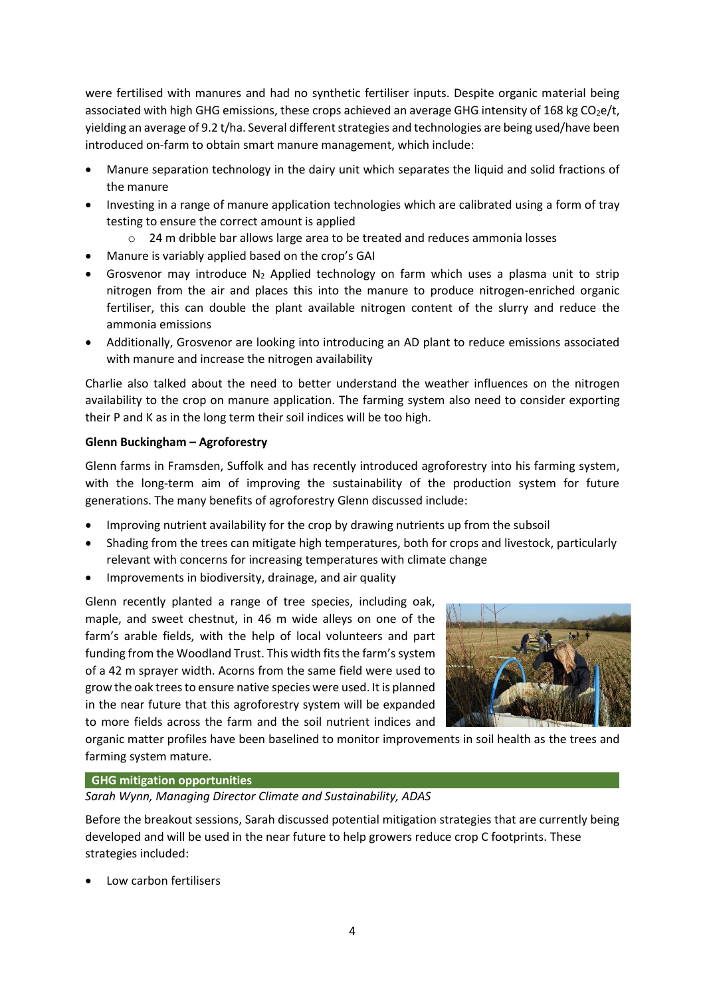were fertilised with manures and had no synthetic fertiliser inputs. Despite organic material being associated with high GHG emissions, these crops achieved an average GHG intensity of 168 kg  $CO<sub>2</sub>e/t$ , yielding an average of 9.2 t/ha. Several different strategies and technologies are being used/have been introduced on-farm to obtain smart manure management, which include:

- Manure separation technology in the dairy unit which separates the liquid and solid fractions of the manure
- Investing in a range of manure application technologies which are calibrated using a form of tray testing to ensure the correct amount is applied
	- 24 m dribble bar allows large area to be treated and reduces ammonia losses
- Manure is variably applied based on the crop's GAI
- Grosvenor may introduce  $N_2$  Applied technology on farm which uses a plasma unit to strip nitrogen from the air and places this into the manure to produce nitrogen-enriched organic fertiliser, this can double the plant available nitrogen content of the slurry and reduce the ammonia emissions
- Additionally, Grosvenor are looking into introducing an AD plant to reduce emissions associated with manure and increase the nitrogen availability

Charlie also talked about the need to better understand the weather influences on the nitrogen availability to the crop on manure application. The farming system also need to consider exporting their P and K as in the long term their soil indices will be too high.

# **Glenn Buckingham – Agroforestry**

Glenn farms in Framsden, Suffolk and has recently introduced agroforestry into his farming system, with the long-term aim of improving the sustainability of the production system for future generations. The many benefits of agroforestry Glenn discussed include:

- Improving nutrient availability for the crop by drawing nutrients up from the subsoil
- Shading from the trees can mitigate high temperatures, both for crops and livestock, particularly relevant with concerns for increasing temperatures with climate change
- Improvements in biodiversity, drainage, and air quality

Glenn recently planted a range of tree species, including oak, maple, and sweet chestnut, in 46 m wide alleys on one of the farm's arable fields, with the help of local volunteers and part funding from the Woodland Trust. This width fits the farm's system of a 42 m sprayer width. Acorns from the same field were used to grow the oak trees to ensure native species were used. It is planned in the near future that this agroforestry system will be expanded to more fields across the farm and the soil nutrient indices and



organic matter profiles have been baselined to monitor improvements in soil health as the trees and farming system mature.

#### **GHG mitigation opportunities**

*Sarah Wynn, Managing Director Climate and Sustainability, ADAS*

Before the breakout sessions, Sarah discussed potential mitigation strategies that are currently being developed and will be used in the near future to help growers reduce crop C footprints. These strategies included:

Low carbon fertilisers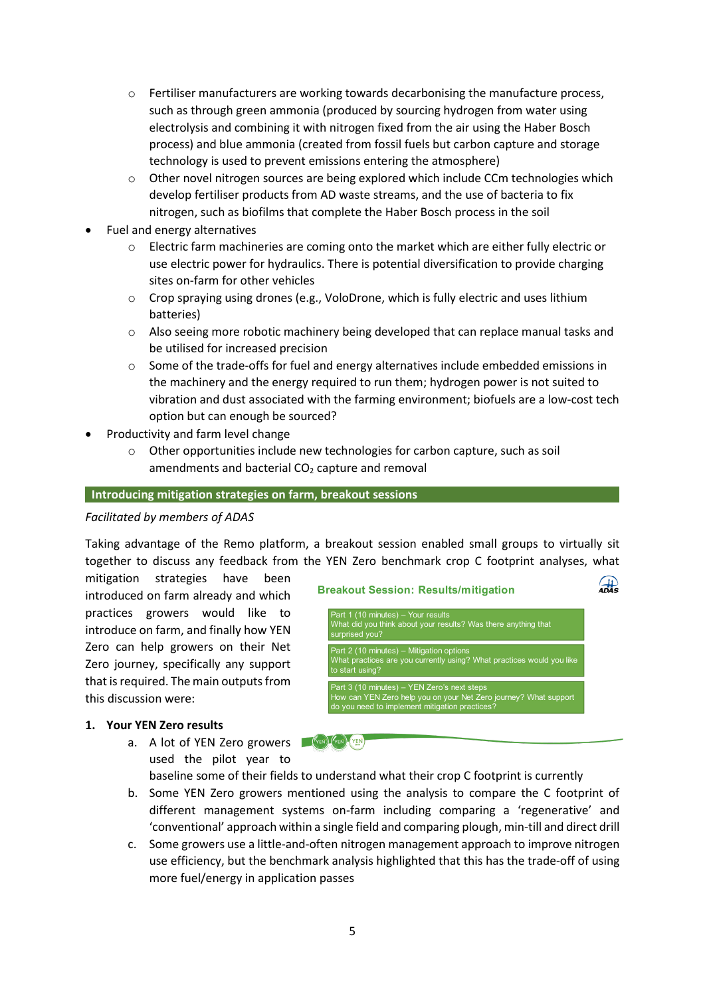- $\circ$  Fertiliser manufacturers are working towards decarbonising the manufacture process, such as through green ammonia (produced by sourcing hydrogen from water using electrolysis and combining it with nitrogen fixed from the air using the Haber Bosch process) and blue ammonia (created from fossil fuels but carbon capture and storage technology is used to prevent emissions entering the atmosphere)
- $\circ$  Other novel nitrogen sources are being explored which include CCm technologies which develop fertiliser products from AD waste streams, and the use of bacteria to fix nitrogen, such as biofilms that complete the Haber Bosch process in the soil
- Fuel and energy alternatives
	- o Electric farm machineries are coming onto the market which are either fully electric or use electric power for hydraulics. There is potential diversification to provide charging sites on-farm for other vehicles
	- $\circ$  Crop spraying using drones (e.g., VoloDrone, which is fully electric and uses lithium batteries)
	- $\circ$  Also seeing more robotic machinery being developed that can replace manual tasks and be utilised for increased precision
	- o Some of the trade-offs for fuel and energy alternatives include embedded emissions in the machinery and the energy required to run them; hydrogen power is not suited to vibration and dust associated with the farming environment; biofuels are a low-cost tech option but can enough be sourced?
- Productivity and farm level change
	- $\circ$  Other opportunities include new technologies for carbon capture, such as soil amendments and bacterial  $CO<sub>2</sub>$  capture and removal

#### **Introducing mitigation strategies on farm, breakout sessions**

#### *Facilitated by members of ADAS*

Taking advantage of the Remo platform, a breakout session enabled small groups to virtually sit together to discuss any feedback from the YEN Zero benchmark crop C footprint analyses, what

mitigation strategies have been introduced on farm already and which practices growers would like to introduce on farm, and finally how YEN Zero can help growers on their Net Zero journey, specifically any support that is required. The main outputs from this discussion were:

#### **1. Your YEN Zero results**

a. A lot of YEN Zero growers **FOR A CHAN AND AND A** used the pilot year to

baseline some of their fields to understand what their crop C footprint is currently

- b. Some YEN Zero growers mentioned using the analysis to compare the C footprint of different management systems on-farm including comparing a 'regenerative' and 'conventional' approach within a single field and comparing plough, min-till and direct drill
- c. Some growers use a little-and-often nitrogen management approach to improve nitrogen use efficiency, but the benchmark analysis highlighted that this has the trade-off of using more fuel/energy in application passes

# **Breakout Session: Results/mitigation**



 $\frac{1}{4}$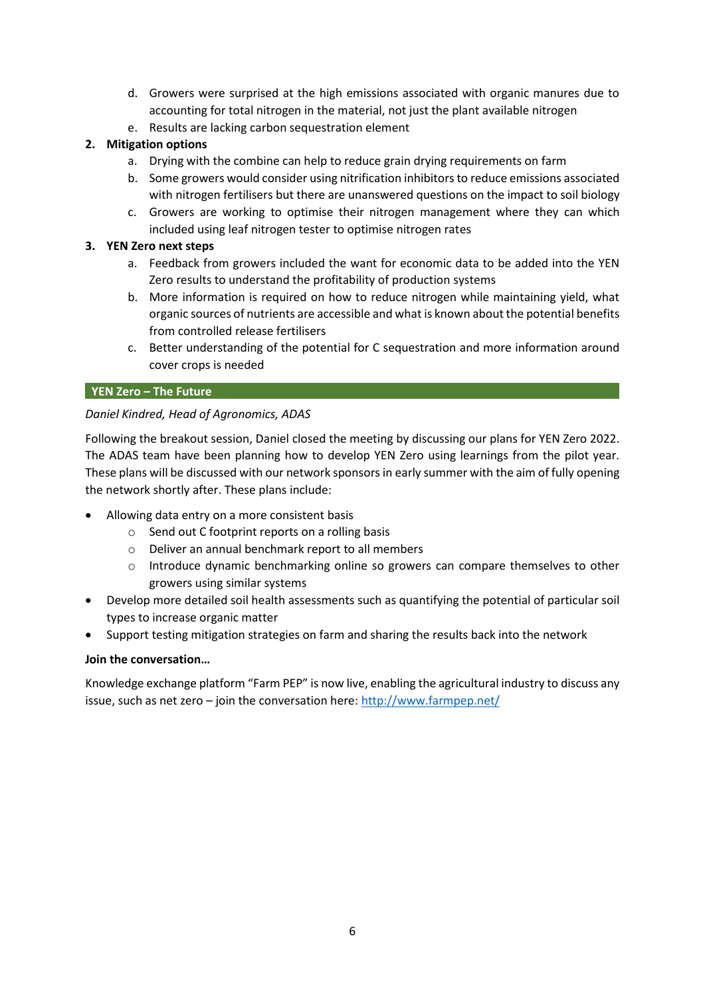- d. Growers were surprised at the high emissions associated with organic manures due to accounting for total nitrogen in the material, not just the plant available nitrogen
- e. Results are lacking carbon sequestration element

# **2. Mitigation options**

- a. Drying with the combine can help to reduce grain drying requirements on farm
- b. Some growers would consider using nitrification inhibitors to reduce emissions associated with nitrogen fertilisers but there are unanswered questions on the impact to soil biology
- c. Growers are working to optimise their nitrogen management where they can which included using leaf nitrogen tester to optimise nitrogen rates

# **3. YEN Zero next steps**

- a. Feedback from growers included the want for economic data to be added into the YEN Zero results to understand the profitability of production systems
- b. More information is required on how to reduce nitrogen while maintaining yield, what organic sources of nutrients are accessible and what is known about the potential benefits from controlled release fertilisers
- c. Better understanding of the potential for C sequestration and more information around cover crops is needed

# **YEN Zero – The Future**

# *Daniel Kindred, Head of Agronomics, ADAS*

Following the breakout session, Daniel closed the meeting by discussing our plans for YEN Zero 2022. The ADAS team have been planning how to develop YEN Zero using learnings from the pilot year. These plans will be discussed with our network sponsors in early summer with the aim of fully opening the network shortly after. These plans include:

- Allowing data entry on a more consistent basis
	- o Send out C footprint reports on a rolling basis
	- o Deliver an annual benchmark report to all members
	- o Introduce dynamic benchmarking online so growers can compare themselves to other growers using similar systems
- Develop more detailed soil health assessments such as quantifying the potential of particular soil types to increase organic matter
- Support testing mitigation strategies on farm and sharing the results back into the network

# **Join the conversation…**

Knowledge exchange platform "Farm PEP" is now live, enabling the agricultural industry to discuss any issue, such as net zero – join the conversation here: <http://www.farmpep.net/>